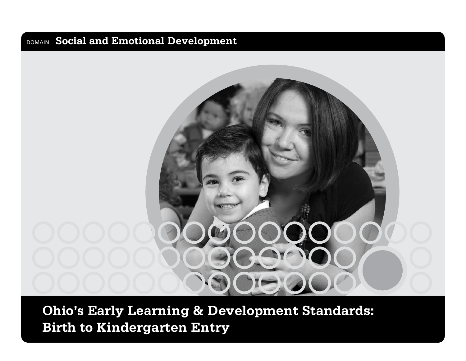

**Ohio's Early Learning & Development Standards: Birth to Kindergarten Entry**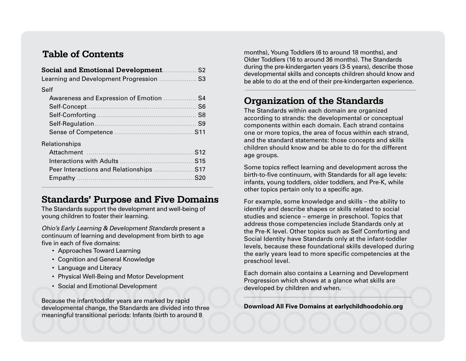#### **Table of Contents**

| <b>Social and Emotional Development</b>    | S <sub>2</sub>  |
|--------------------------------------------|-----------------|
| Learning and Development Progression       | S <sub>3</sub>  |
| Self                                       |                 |
| <b>Awareness and Expression of Emotion</b> | S4              |
| Self-Concept                               | S <sub>6</sub>  |
| Self-Comforting                            | S <sub>8</sub>  |
| Self-Regulation                            | S <sub>9</sub>  |
|                                            | S <sub>11</sub> |
| Relationships                              |                 |
| Attachment                                 | S <sub>12</sub> |
| Interactions with Adults                   | S15             |

#### **Standards' Purpose and Five Domains**

Peer Interactions and Relationships ........................S17 Empathy ............................................................S20

The Standards support the development and well-being of young children to foster their learning.

*Ohio's Early Learning & Development Standards* present a continuum of learning and development from birth to age five in each of five domains:

- Approaches Toward Learning
- Cognition and General Knowledge
- Language and Literacy
- Physical Well-Being and Motor Development
- Social and Emotional Development

Because the infant/toddler years are marked by rapid developmental change, the Standards are divided into three meaningful transitional periods: Infants (birth to around 8

months), Young Toddlers (6 to around 18 months), and Older Toddlers (16 to around 36 months). The Standards during the pre-kindergarten years (3-5 years), describe those developmental skills and concepts children should know and be able to do at the end of their pre-kindergarten experience.

#### **Organization of the Standards**

The Standards within each domain are organized according to strands: the developmental or conceptual components within each domain. Each strand contains one or more topics, the area of focus within each strand, and the standard statements: those concepts and skills children should know and be able to do for the different age groups.

Some topics reflect learning and development across the birth-to-five continuum, with Standards for all age levels: infants, young toddlers, older toddlers, and Pre-K, while other topics pertain only to a specific age.

For example, some knowledge and skills – the ability to identify and describe shapes or skills related to social studies and science – emerge in preschool. Topics that address those competencies include Standards only at the Pre-K level. Other topics such as Self Comforting and Social Identity have Standards only at the infant-toddler levels, because these foundational skills developed during the early years lead to more specific competencies at the preschool level.

Each domain also contains a Learning and Development Progression which shows at a glance what skills are developed by children and when.

**Download All Five Domains at earlychildhoodohio.org**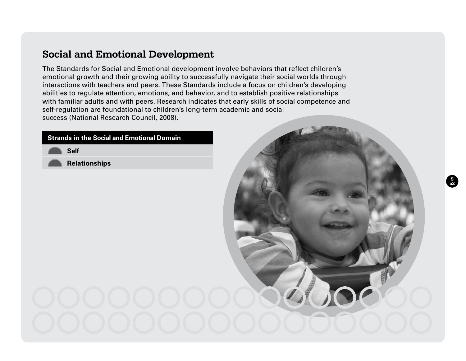The Standards for Social and Emotional development involve behaviors that reflect children's emotional growth and their growing ability to successfully navigate their social worlds through interactions with teachers and peers. These Standards include a focus on children's developing abilities to regulate attention, emotions, and behavior, and to establish positive relationships with familiar adults and with peers. Research indicates that early skills of social competence and self-regulation are foundational to children's long-term academic and social success (National Research Council, 2008).

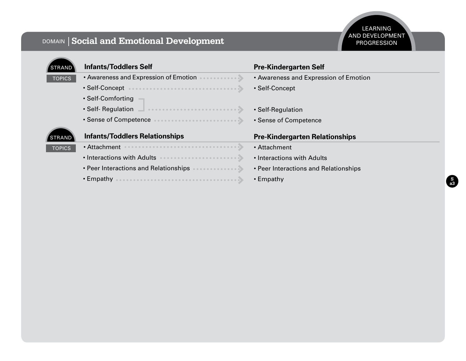| <b>STRAND</b> | <b>Infants/Toddlers Self</b>          | <b>Pre-Kindergarten Self</b>          |
|---------------|---------------------------------------|---------------------------------------|
| <b>TOPICS</b> | • Awareness and Expression of Emotion | • Awareness and Expression of Emotion |
|               | • Self-Concept                        | • Self-Concept                        |
|               | • Self-Comforting                     |                                       |
|               | • Self- Regulation                    | • Self-Regulation                     |
|               | • Sense of Competence                 | • Sense of Competence                 |
| <b>STRAND</b> | <b>Infants/Toddlers Relationships</b> | <b>Pre-Kindergarten Relationships</b> |
| <b>TOPICS</b> | • Attachment                          | • Attachment                          |
|               | • Interactions with Adults            | • Interactions with Adults            |
|               | • Peer Interactions and Relationships | • Peer Interactions and Relationships |
|               | $\cdot$ Empathy                       | $\cdot$ Empathy                       |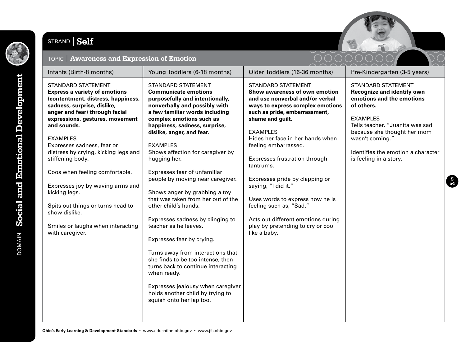

### STRAND | Self



| TOPIC   Awareness and Expression of Emotion                                                                                                                                                                                                                                                                                                                                                                                                                                                                                                  |                                                                                                                                                                                                                                                                                                                                                                                                                                                                                                                                                                                                                                                                                                                                                                                                                                  |                                                                                                                                                                                                                                                                                                                                                                                                                                                                                                                                      |                                                                                                                                                                                                                                                                                   |
|----------------------------------------------------------------------------------------------------------------------------------------------------------------------------------------------------------------------------------------------------------------------------------------------------------------------------------------------------------------------------------------------------------------------------------------------------------------------------------------------------------------------------------------------|----------------------------------------------------------------------------------------------------------------------------------------------------------------------------------------------------------------------------------------------------------------------------------------------------------------------------------------------------------------------------------------------------------------------------------------------------------------------------------------------------------------------------------------------------------------------------------------------------------------------------------------------------------------------------------------------------------------------------------------------------------------------------------------------------------------------------------|--------------------------------------------------------------------------------------------------------------------------------------------------------------------------------------------------------------------------------------------------------------------------------------------------------------------------------------------------------------------------------------------------------------------------------------------------------------------------------------------------------------------------------------|-----------------------------------------------------------------------------------------------------------------------------------------------------------------------------------------------------------------------------------------------------------------------------------|
| Infants (Birth-8 months)                                                                                                                                                                                                                                                                                                                                                                                                                                                                                                                     | Young Toddlers (6-18 months)                                                                                                                                                                                                                                                                                                                                                                                                                                                                                                                                                                                                                                                                                                                                                                                                     | Older Toddlers (16-36 months)                                                                                                                                                                                                                                                                                                                                                                                                                                                                                                        | Pre-Kindergarten (3-5 years)                                                                                                                                                                                                                                                      |
| <b>STANDARD STATEMENT</b><br><b>Express a variety of emotions</b><br>(contentment, distress, happiness,<br>sadness, surprise, dislike,<br>anger and fear) through facial<br>expressions, gestures, movement<br>and sounds.<br><b>EXAMPLES</b><br>Expresses sadness, fear or<br>distress by crying, kicking legs and<br>stiffening body.<br>Coos when feeling comfortable.<br>Expresses joy by waving arms and<br>kicking legs.<br>Spits out things or turns head to<br>show dislike.<br>Smiles or laughs when interacting<br>with caregiver. | <b>STANDARD STATEMENT</b><br><b>Communicate emotions</b><br>purposefully and intentionally,<br>nonverbally and possibly with<br>a few familiar words including<br>complex emotions such as<br>happiness, sadness, surprise,<br>dislike, anger, and fear.<br><b>EXAMPLES</b><br>Shows affection for caregiver by<br>hugging her.<br>Expresses fear of unfamiliar<br>people by moving near caregiver.<br>Shows anger by grabbing a toy<br>that was taken from her out of the<br>other child's hands.<br>Expresses sadness by clinging to<br>teacher as he leaves.<br>Expresses fear by crying.<br>Turns away from interactions that<br>she finds to be too intense, then<br>turns back to continue interacting<br>when ready.<br>Expresses jealousy when caregiver<br>holds another child by trying to<br>squish onto her lap too. | <b>STANDARD STATEMENT</b><br>Show awareness of own emotion<br>and use nonverbal and/or verbal<br>ways to express complex emotions<br>such as pride, embarrassment,<br>shame and guilt.<br><b>EXAMPLES</b><br>Hides her face in her hands when<br>feeling embarrassed.<br>Expresses frustration through<br>tantrums.<br>Expresses pride by clapping or<br>saying, "I did it."<br>Uses words to express how he is<br>feeling such as, "Sad."<br>Acts out different emotions during<br>play by pretending to cry or coo<br>like a baby. | <b>STANDARD STATEMENT</b><br><b>Recognize and identify own</b><br>emotions and the emotions<br>of others.<br><b>EXAMPLES</b><br>Tells teacher, "Juanita was sad<br>because she thought her mom<br>wasn't coming."<br>Identifies the emotion a character<br>is feeling in a story. |

 $\stackrel{\sim}{\sim}$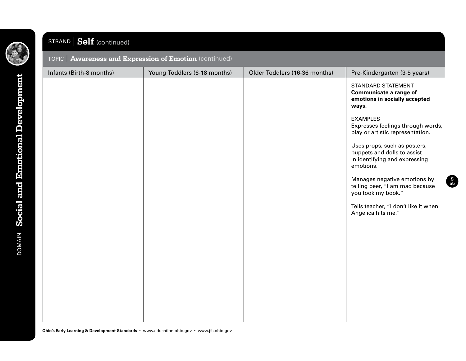

#### STRAND **Self** (continue

| <b>POLITER (COLLULUED)</b>                              |                              |                               |                                                                                                           |  |
|---------------------------------------------------------|------------------------------|-------------------------------|-----------------------------------------------------------------------------------------------------------|--|
| TOPIC   Awareness and Expression of Emotion (continued) |                              |                               |                                                                                                           |  |
| Infants (Birth-8 months)                                | Young Toddlers (6-18 months) | Older Toddlers (16-36 months) | Pre-Kindergarten (3-5 years)                                                                              |  |
|                                                         |                              |                               | STANDARD STATEMENT<br>Communicate a range of<br>emotions in socially accepted<br>ways.                    |  |
|                                                         |                              |                               | <b>EXAMPLES</b><br>Expresses feelings through words,<br>play or artistic representation.                  |  |
|                                                         |                              |                               | Uses props, such as posters,<br>puppets and dolls to assist<br>in identifying and expressing<br>emotions. |  |
|                                                         |                              |                               | Manages negative emotions by<br>telling peer, "I am mad because<br>you took my book."                     |  |
|                                                         |                              |                               | Tells teacher, "I don't like it when<br>Angelica hits me."                                                |  |
|                                                         |                              |                               |                                                                                                           |  |
|                                                         |                              |                               |                                                                                                           |  |
|                                                         |                              |                               |                                                                                                           |  |
|                                                         |                              |                               |                                                                                                           |  |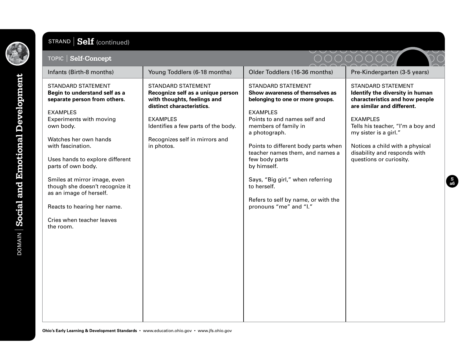

# STRAND **Self** (continued)

| TOPIC   Self-Concept                                                                                                                                                                                                                                                                                                                                                                                                                       |                                                                                                                                                                                                                                      |                                                                                                                                                                                                                                                                                                                                                                                                                             |                                                                                                                                                                                                                                                                                                             |
|--------------------------------------------------------------------------------------------------------------------------------------------------------------------------------------------------------------------------------------------------------------------------------------------------------------------------------------------------------------------------------------------------------------------------------------------|--------------------------------------------------------------------------------------------------------------------------------------------------------------------------------------------------------------------------------------|-----------------------------------------------------------------------------------------------------------------------------------------------------------------------------------------------------------------------------------------------------------------------------------------------------------------------------------------------------------------------------------------------------------------------------|-------------------------------------------------------------------------------------------------------------------------------------------------------------------------------------------------------------------------------------------------------------------------------------------------------------|
| Infants (Birth-8 months)                                                                                                                                                                                                                                                                                                                                                                                                                   | Young Toddlers (6-18 months)                                                                                                                                                                                                         | Older Toddlers (16-36 months)                                                                                                                                                                                                                                                                                                                                                                                               | Pre-Kindergarten (3-5 years)                                                                                                                                                                                                                                                                                |
| <b>STANDARD STATEMENT</b><br>Begin to understand self as a<br>separate person from others.<br><b>EXAMPLES</b><br><b>Experiments with moving</b><br>own body.<br>Watches her own hands<br>with fascination.<br>Uses hands to explore different<br>parts of own body.<br>Smiles at mirror image, even<br>though she doesn't recognize it<br>as an image of herself.<br>Reacts to hearing her name.<br>Cries when teacher leaves<br>the room. | <b>STANDARD STATEMENT</b><br>Recognize self as a unique person<br>with thoughts, feelings and<br>distinct characteristics.<br><b>EXAMPLES</b><br>Identifies a few parts of the body.<br>Recognizes self in mirrors and<br>in photos. | <b>STANDARD STATEMENT</b><br>Show awareness of themselves as<br>belonging to one or more groups.<br><b>EXAMPLES</b><br>Points to and names self and<br>members of family in<br>a photograph.<br>Points to different body parts when<br>teacher names them, and names a<br>few body parts<br>by himself.<br>Says, "Big girl," when referring<br>to herself.<br>Refers to self by name, or with the<br>pronouns "me" and "l." | <b>STANDARD STATEMENT</b><br>Identify the diversity in human<br>characteristics and how people<br>are similar and different.<br><b>EXAMPLES</b><br>Tells his teacher, "I'm a boy and<br>my sister is a girl."<br>Notices a child with a physical<br>disability and responds with<br>questions or curiosity. |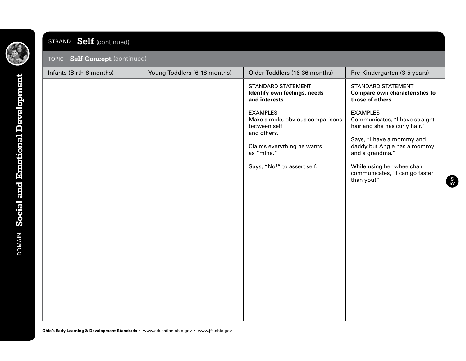

**DOMAIN** Social and Emotional Development DOMAIN **Social and Emotional Development**

## STRAND **Self** (continued)

| Infants (Birth-8 months) | Young Toddlers (6-18 months) | Older Toddlers (16-36 months)                                                      | Pre-Kindergarten (3-5 years)                                                           |
|--------------------------|------------------------------|------------------------------------------------------------------------------------|----------------------------------------------------------------------------------------|
|                          |                              | STANDARD STATEMENT<br>Identify own feelings, needs<br>and interests.               | <b>STANDARD STATEMENT</b><br><b>Compare own characteristics to</b><br>those of others. |
|                          |                              | <b>EXAMPLES</b><br>Make simple, obvious comparisons<br>between self<br>and others. | <b>EXAMPLES</b><br>Communicates, "I have straight<br>hair and she has curly hair."     |
|                          |                              | Claims everything he wants<br>as "mine."                                           | Says, "I have a mommy and<br>daddy but Angie has a mommy<br>and a grandma."            |
|                          |                              | Says, "No!" to assert self.                                                        | While using her wheelchair<br>communicates, "I can go faster<br>than you!"             |
|                          |                              |                                                                                    |                                                                                        |
|                          |                              |                                                                                    |                                                                                        |
|                          |                              |                                                                                    |                                                                                        |
|                          |                              |                                                                                    |                                                                                        |
|                          |                              |                                                                                    |                                                                                        |
|                          |                              |                                                                                    |                                                                                        |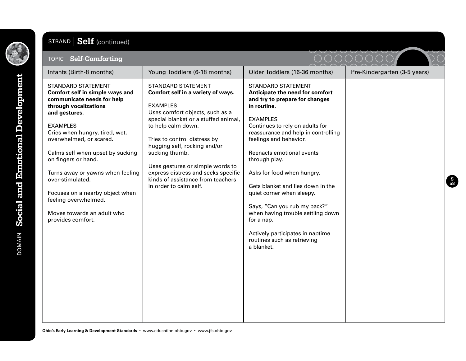

# STRAND **Self** (continued)

| TOPIC   Self-Comforting                                                                                                                                                                                                                                                                                                                                                                                                                               |                                                                                                                                                                                                                                                                                                                                                                                                                 |                                                                                                                                                                                                                                                                                                                                                                                                                                                                                                                                                        | $\smile$                     |
|-------------------------------------------------------------------------------------------------------------------------------------------------------------------------------------------------------------------------------------------------------------------------------------------------------------------------------------------------------------------------------------------------------------------------------------------------------|-----------------------------------------------------------------------------------------------------------------------------------------------------------------------------------------------------------------------------------------------------------------------------------------------------------------------------------------------------------------------------------------------------------------|--------------------------------------------------------------------------------------------------------------------------------------------------------------------------------------------------------------------------------------------------------------------------------------------------------------------------------------------------------------------------------------------------------------------------------------------------------------------------------------------------------------------------------------------------------|------------------------------|
| Infants (Birth-8 months)                                                                                                                                                                                                                                                                                                                                                                                                                              | Young Toddlers (6-18 months)                                                                                                                                                                                                                                                                                                                                                                                    | Older Toddlers (16-36 months)                                                                                                                                                                                                                                                                                                                                                                                                                                                                                                                          | Pre-Kindergarten (3-5 years) |
| <b>STANDARD STATEMENT</b><br>Comfort self in simple ways and<br>communicate needs for help<br>through vocalizations<br>and gestures.<br><b>EXAMPLES</b><br>Cries when hungry, tired, wet,<br>overwhelmed, or scared.<br>Calms self when upset by sucking<br>on fingers or hand.<br>Turns away or yawns when feeling<br>over-stimulated.<br>Focuses on a nearby object when<br>feeling overwhelmed.<br>Moves towards an adult who<br>provides comfort. | <b>STANDARD STATEMENT</b><br>Comfort self in a variety of ways.<br><b>EXAMPLES</b><br>Uses comfort objects, such as a<br>special blanket or a stuffed animal,<br>to help calm down.<br>Tries to control distress by<br>hugging self, rocking and/or<br>sucking thumb.<br>Uses gestures or simple words to<br>express distress and seeks specific<br>kinds of assistance from teachers<br>in order to calm self. | <b>STANDARD STATEMENT</b><br>Anticipate the need for comfort<br>and try to prepare for changes<br>in routine.<br><b>EXAMPLES</b><br>Continues to rely on adults for<br>reassurance and help in controlling<br>feelings and behavior.<br>Reenacts emotional events<br>through play.<br>Asks for food when hungry.<br>Gets blanket and lies down in the<br>quiet corner when sleepy.<br>Says, "Can you rub my back?"<br>when having trouble settling down<br>for a nap.<br>Actively participates in naptime<br>routines such as retrieving<br>a blanket. |                              |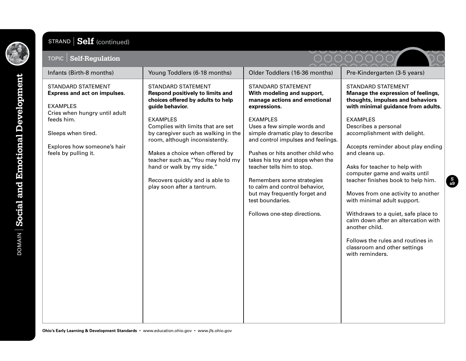

## STRAND **Self** (continued)

| <b>Self-Regulation</b><br>TOPIC                                                                                                                                                                          |                                                                                                                                                                                                                                                                                                                                                                                                                             |                                                                                                                                                                                                                                                                                                                                                                                                                                                                                              |                                                                                                                                                                                                                                                                                                                                                                                                                                                                                                                                                                                                                                |
|----------------------------------------------------------------------------------------------------------------------------------------------------------------------------------------------------------|-----------------------------------------------------------------------------------------------------------------------------------------------------------------------------------------------------------------------------------------------------------------------------------------------------------------------------------------------------------------------------------------------------------------------------|----------------------------------------------------------------------------------------------------------------------------------------------------------------------------------------------------------------------------------------------------------------------------------------------------------------------------------------------------------------------------------------------------------------------------------------------------------------------------------------------|--------------------------------------------------------------------------------------------------------------------------------------------------------------------------------------------------------------------------------------------------------------------------------------------------------------------------------------------------------------------------------------------------------------------------------------------------------------------------------------------------------------------------------------------------------------------------------------------------------------------------------|
| Infants (Birth-8 months)                                                                                                                                                                                 | Young Toddlers (6-18 months)                                                                                                                                                                                                                                                                                                                                                                                                | Older Toddlers (16-36 months)                                                                                                                                                                                                                                                                                                                                                                                                                                                                | Pre-Kindergarten (3-5 years)                                                                                                                                                                                                                                                                                                                                                                                                                                                                                                                                                                                                   |
| <b>STANDARD STATEMENT</b><br>Express and act on impulses.<br><b>EXAMPLES</b><br>Cries when hungry until adult<br>feeds him.<br>Sleeps when tired.<br>Explores how someone's hair<br>feels by pulling it. | <b>STANDARD STATEMENT</b><br>Respond positively to limits and<br>choices offered by adults to help<br>guide behavior.<br><b>EXAMPLES</b><br>Complies with limits that are set<br>by caregiver such as walking in the<br>room, although inconsistently.<br>Makes a choice when offered by<br>teacher such as, "You may hold my<br>hand or walk by my side."<br>Recovers quickly and is able to<br>play soon after a tantrum. | <b>STANDARD STATEMENT</b><br>With modeling and support,<br>manage actions and emotional<br>expressions.<br><b>EXAMPLES</b><br>Uses a few simple words and<br>simple dramatic play to describe<br>and control impulses and feelings.<br>Pushes or hits another child who<br>takes his toy and stops when the<br>teacher tells him to stop.<br>Remembers some strategies<br>to calm and control behavior,<br>but may frequently forget and<br>test boundaries.<br>Follows one-step directions. | <b>STANDARD STATEMENT</b><br>Manage the expression of feelings,<br>thoughts, impulses and behaviors<br>with minimal guidance from adults.<br><b>EXAMPLES</b><br>Describes a personal<br>accomplishment with delight.<br>Accepts reminder about play ending<br>and cleans up.<br>Asks for teacher to help with<br>computer game and waits until<br>teacher finishes book to help him.<br>Moves from one activity to another<br>with minimal adult support.<br>Withdraws to a quiet, safe place to<br>calm down after an altercation with<br>another child.<br>Follows the rules and routines in<br>classroom and other settings |
|                                                                                                                                                                                                          |                                                                                                                                                                                                                                                                                                                                                                                                                             |                                                                                                                                                                                                                                                                                                                                                                                                                                                                                              | with reminders.                                                                                                                                                                                                                                                                                                                                                                                                                                                                                                                                                                                                                |

**Ohio's Early Learning & Development Standards** • www.education.ohio.gov • www.jfs.ohio.gov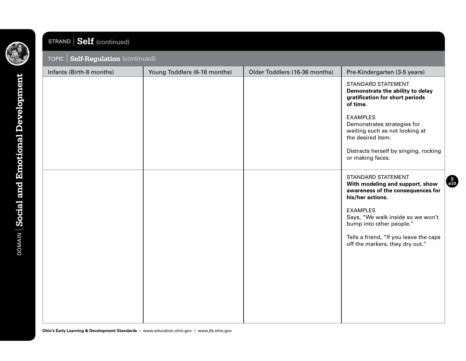

# STRAND **Self** (continued)

#### TOPIC **Self-Regulation** (continued)

| <b>TOFIC Bell-Regulation</b> (commuted) |                              |                               |                                                                                                                                                                                                                                                                                        |  |
|-----------------------------------------|------------------------------|-------------------------------|----------------------------------------------------------------------------------------------------------------------------------------------------------------------------------------------------------------------------------------------------------------------------------------|--|
| Infants (Birth-8 months)                | Young Toddlers (6-18 months) | Older Toddlers (16-36 months) | Pre-Kindergarten (3-5 years)                                                                                                                                                                                                                                                           |  |
|                                         |                              |                               | <b>STANDARD STATEMENT</b><br>Demonstrate the ability to delay<br>gratification for short periods<br>of time.<br><b>EXAMPLES</b><br>Demonstrates strategies for<br>waiting such as not looking at<br>the desired item.<br>Distracts herself by singing, rocking<br>or making faces.     |  |
|                                         |                              |                               | <b>STANDARD STATEMENT</b><br>With modeling and support, show<br>awareness of the consequences for<br>his/her actions.<br><b>EXAMPLES</b><br>Says, "We walk inside so we won't<br>bump into other people."<br>Tells a friend, "If you leave the caps<br>off the markers, they dry out." |  |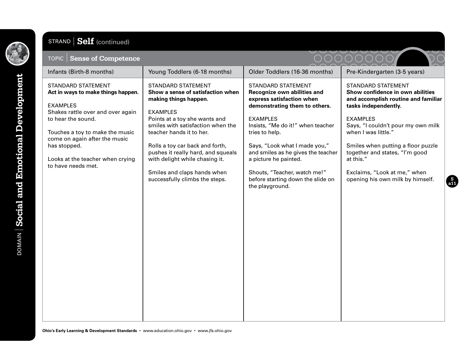

# STRAND **Self** (continued)

| <b>Sense of Competence</b><br>$\overline{\phantom{a}}$ topic $\overline{\phantom{a}}$ $\overline{\phantom{a}}$                                                                                                                                                                              |                                                                                                                                                                                                                                                                                                                                                                                          |                                                                                                                                                                                                                                                                                                                                                                                   |                                                                                                                                                                                                                                                                                                                                                                |
|---------------------------------------------------------------------------------------------------------------------------------------------------------------------------------------------------------------------------------------------------------------------------------------------|------------------------------------------------------------------------------------------------------------------------------------------------------------------------------------------------------------------------------------------------------------------------------------------------------------------------------------------------------------------------------------------|-----------------------------------------------------------------------------------------------------------------------------------------------------------------------------------------------------------------------------------------------------------------------------------------------------------------------------------------------------------------------------------|----------------------------------------------------------------------------------------------------------------------------------------------------------------------------------------------------------------------------------------------------------------------------------------------------------------------------------------------------------------|
| Infants (Birth-8 months)                                                                                                                                                                                                                                                                    | Young Toddlers (6-18 months)                                                                                                                                                                                                                                                                                                                                                             | Older Toddlers (16-36 months)                                                                                                                                                                                                                                                                                                                                                     | Pre-Kindergarten (3-5 years)                                                                                                                                                                                                                                                                                                                                   |
| <b>STANDARD STATEMENT</b><br>Act in ways to make things happen.<br><b>EXAMPLES</b><br>Shakes rattle over and over again<br>to hear the sound.<br>Touches a toy to make the music<br>come on again after the music<br>has stopped.<br>Looks at the teacher when crying<br>to have needs met. | <b>STANDARD STATEMENT</b><br>Show a sense of satisfaction when<br>making things happen.<br><b>EXAMPLES</b><br>Points at a toy she wants and<br>smiles with satisfaction when the<br>teacher hands it to her.<br>Rolls a toy car back and forth,<br>pushes it really hard, and squeals<br>with delight while chasing it.<br>Smiles and claps hands when<br>successfully climbs the steps. | STANDARD STATEMENT<br>Recognize own abilities and<br>express satisfaction when<br>demonstrating them to others.<br><b>EXAMPLES</b><br>Insists, "Me do it!" when teacher<br>tries to help.<br>Says, "Look what I made you,"<br>and smiles as he gives the teacher<br>a picture he painted.<br>Shouts, "Teacher, watch me!"<br>before starting down the slide on<br>the playground. | STANDARD STATEMENT<br>Show confidence in own abilities<br>and accomplish routine and familiar<br>tasks independently.<br><b>EXAMPLES</b><br>Says, "I couldn't pour my own milk<br>when I was little."<br>Smiles when putting a floor puzzle<br>together and states, "I'm good<br>at this."<br>Exclaims, "Look at me," when<br>opening his own milk by himself. |
|                                                                                                                                                                                                                                                                                             |                                                                                                                                                                                                                                                                                                                                                                                          |                                                                                                                                                                                                                                                                                                                                                                                   |                                                                                                                                                                                                                                                                                                                                                                |
|                                                                                                                                                                                                                                                                                             |                                                                                                                                                                                                                                                                                                                                                                                          |                                                                                                                                                                                                                                                                                                                                                                                   |                                                                                                                                                                                                                                                                                                                                                                |
|                                                                                                                                                                                                                                                                                             |                                                                                                                                                                                                                                                                                                                                                                                          |                                                                                                                                                                                                                                                                                                                                                                                   |                                                                                                                                                                                                                                                                                                                                                                |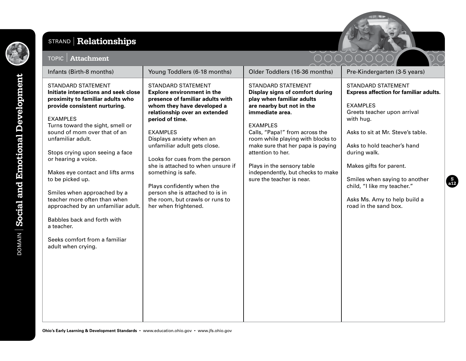

### STRAND **Relationships**



**S a12**

| <b>Attachment</b><br><b>TOPIC</b>                                                                                                                                                                                                                                                                                                                                                                                                                                                                                                                                             |                                                                                                                                                                                                                                                                                                                                                                                                                                                                                              |                                                                                                                                                                                                                                                                                                                                                                                               |                                                                                                                                                                                                                                                                                                                                                                                   |
|-------------------------------------------------------------------------------------------------------------------------------------------------------------------------------------------------------------------------------------------------------------------------------------------------------------------------------------------------------------------------------------------------------------------------------------------------------------------------------------------------------------------------------------------------------------------------------|----------------------------------------------------------------------------------------------------------------------------------------------------------------------------------------------------------------------------------------------------------------------------------------------------------------------------------------------------------------------------------------------------------------------------------------------------------------------------------------------|-----------------------------------------------------------------------------------------------------------------------------------------------------------------------------------------------------------------------------------------------------------------------------------------------------------------------------------------------------------------------------------------------|-----------------------------------------------------------------------------------------------------------------------------------------------------------------------------------------------------------------------------------------------------------------------------------------------------------------------------------------------------------------------------------|
| Infants (Birth-8 months)                                                                                                                                                                                                                                                                                                                                                                                                                                                                                                                                                      | Young Toddlers (6-18 months)                                                                                                                                                                                                                                                                                                                                                                                                                                                                 | Older Toddlers (16-36 months)                                                                                                                                                                                                                                                                                                                                                                 | Pre-Kindergarten (3-5 years)                                                                                                                                                                                                                                                                                                                                                      |
| <b>STANDARD STATEMENT</b><br>Initiate interactions and seek close<br>proximity to familiar adults who<br>provide consistent nurturing.<br><b>EXAMPLES</b><br>Turns toward the sight, smell or<br>sound of mom over that of an<br>unfamiliar adult.<br>Stops crying upon seeing a face<br>or hearing a voice.<br>Makes eye contact and lifts arms<br>to be picked up.<br>Smiles when approached by a<br>teacher more often than when<br>approached by an unfamiliar adult.<br>Babbles back and forth with<br>a teacher.<br>Seeks comfort from a familiar<br>adult when crying. | <b>STANDARD STATEMENT</b><br><b>Explore environment in the</b><br>presence of familiar adults with<br>whom they have developed a<br>relationship over an extended<br>period of time.<br><b>EXAMPLES</b><br>Displays anxiety when an<br>unfamiliar adult gets close.<br>Looks for cues from the person<br>she is attached to when unsure if<br>something is safe.<br>Plays confidently when the<br>person she is attached to is in<br>the room, but crawls or runs to<br>her when frightened. | <b>STANDARD STATEMENT</b><br>Display signs of comfort during<br>play when familiar adults<br>are nearby but not in the<br>immediate area.<br><b>EXAMPLES</b><br>Calls, "Papa!" from across the<br>room while playing with blocks to<br>make sure that her papa is paying<br>attention to her.<br>Plays in the sensory table<br>independently, but checks to make<br>sure the teacher is near. | <b>STANDARD STATEMENT</b><br><b>Express affection for familiar adults.</b><br><b>EXAMPLES</b><br>Greets teacher upon arrival<br>with hug.<br>Asks to sit at Mr. Steve's table.<br>Asks to hold teacher's hand<br>during walk.<br>Makes gifts for parent.<br>Smiles when saying to another<br>child, "I like my teacher."<br>Asks Ms. Amy to help build a<br>road in the sand box. |

**Ohio's Early Learning & Development Standards** • www.education.ohio.gov • www.jfs.ohio.gov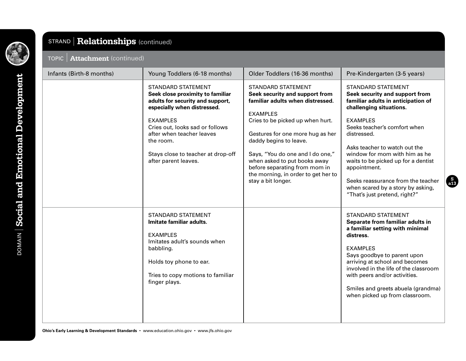

| STRAND   Relationships (continued)     |                                                                                                                                                                                                                                                                                                                                |                                                                                                                                                                                                                                                                                                                                                                                                                         |                                                                                                                                                                                                                                                                                                                                                                                                                                                                     |
|----------------------------------------|--------------------------------------------------------------------------------------------------------------------------------------------------------------------------------------------------------------------------------------------------------------------------------------------------------------------------------|-------------------------------------------------------------------------------------------------------------------------------------------------------------------------------------------------------------------------------------------------------------------------------------------------------------------------------------------------------------------------------------------------------------------------|---------------------------------------------------------------------------------------------------------------------------------------------------------------------------------------------------------------------------------------------------------------------------------------------------------------------------------------------------------------------------------------------------------------------------------------------------------------------|
| <b>Attachment (continued)</b><br>TOPIC |                                                                                                                                                                                                                                                                                                                                |                                                                                                                                                                                                                                                                                                                                                                                                                         |                                                                                                                                                                                                                                                                                                                                                                                                                                                                     |
| Infants (Birth-8 months)               | Young Toddlers (6-18 months)<br><b>STANDARD STATEMENT</b><br>Seek close proximity to familiar<br>adults for security and support,<br>especially when distressed.<br><b>EXAMPLES</b><br>Cries out, looks sad or follows<br>after when teacher leaves<br>the room.<br>Stays close to teacher at drop-off<br>after parent leaves. | Older Toddlers (16-36 months)<br><b>STANDARD STATEMENT</b><br>Seek security and support from<br>familiar adults when distressed.<br><b>EXAMPLES</b><br>Cries to be picked up when hurt.<br>Gestures for one more hug as her<br>daddy begins to leave.<br>Says, "You do one and I do one,"<br>when asked to put books away<br>before separating from mom in<br>the morning, in order to get her to<br>stay a bit longer. | Pre-Kindergarten (3-5 years)<br><b>STANDARD STATEMENT</b><br>Seek security and support from<br>familiar adults in anticipation of<br>challenging situations.<br><b>EXAMPLES</b><br>Seeks teacher's comfort when<br>distressed.<br>Asks teacher to watch out the<br>window for mom with him as he<br>waits to be picked up for a dentist<br>appointment.<br>Seeks reassurance from the teacher<br>when scared by a story by asking,<br>"That's just pretend, right?" |
|                                        | <b>STANDARD STATEMENT</b><br>Imitate familiar adults.<br><b>EXAMPLES</b><br>Imitates adult's sounds when<br>babbling.<br>Holds toy phone to ear.<br>Tries to copy motions to familiar<br>finger plays.                                                                                                                         |                                                                                                                                                                                                                                                                                                                                                                                                                         | STANDARD STATEMENT<br>Separate from familiar adults in<br>a familiar setting with minimal<br>distress.<br><b>EXAMPLES</b><br>Says goodbye to parent upon<br>arriving at school and becomes<br>involved in the life of the classroom<br>with peers and/or activities.<br>Smiles and greets abuela (grandma)<br>when picked up from classroom.                                                                                                                        |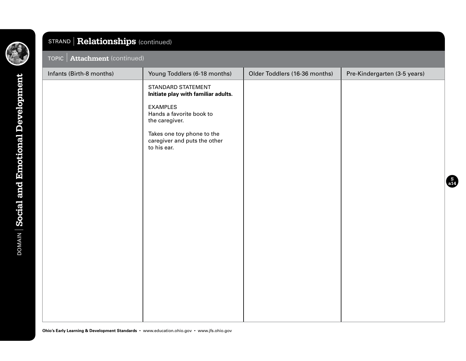

# TOPIC **Attachment** (continued) Infants (Birth-8 months) Young Toddlers (6-18 months) Older Toddlers (16-36 months) Pre-Kindergarten (3-5 years) STANDARD STATEMENT **Initiate play with familiar adults.** EXAMPLES Hands a favorite book to the caregiver. Takes one toy phone to the caregiver and puts the other to his ear. STRAND **Relationships** (continued)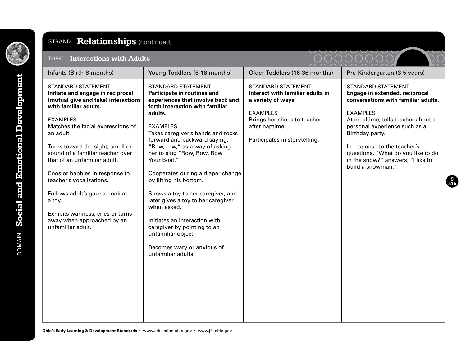

#### TOPIC **Interactions with Adults** Infants (Birth-8 months) Young Toddlers (6-18 months) Older Toddlers (16-36 months) Pre-Kindergarten (3-5 years) STANDARD STATEMENT **Initiate and engage in reciprocal (mutual give and take) interactions with familiar adults.** EXAMPLES Matches the facial expressions of an adult. Turns toward the sight, smell or sound of a familiar teacher over that of an unfamiliar adult. Coos or babbles in response to teacher's vocalizations. Follows adult's gaze to look at a toy. Exhibits wariness, cries or turns away when approached by an unfamiliar adult. STANDARD STATEMENT **Participate in routines and experiences that involve back and forth interaction with familiar adults.** EXAMPLES Takes caregiver's hands and rocks forward and backward saying, "Row, row," as a way of asking her to sing "Row, Row, Row Your Boat." Cooperates during a diaper change by lifting his bottom. Shows a toy to her caregiver, and later gives a toy to her caregiver when asked. Initiates an interaction with caregiver by pointing to an unfamiliar object. Becomes wary or anxious of unfamiliar adults. STANDARD STATEMENT **Interact with familiar adults in a variety of ways.** EXAMPLES Brings her shoes to teacher after naptime. Participates in storytelling. STANDARD STATEMENT **Engage in extended, reciprocal conversations with familiar adults.** EXAMPLES At mealtime, tells teacher about a personal experience such as a Birthday party. In response to the teacher's questions, "What do you like to do in the snow?" answers, "I like to build a snowman." STRAND **Relationships** (continued)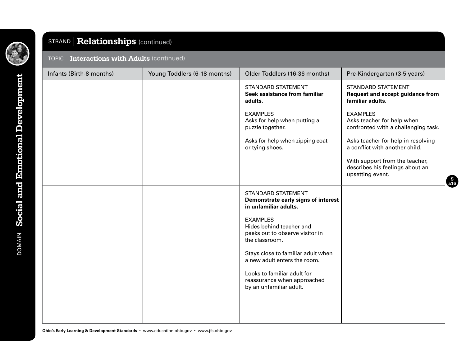

|  | TOPIC   Interactions with Adults (continued) |
|--|----------------------------------------------|
|--|----------------------------------------------|

| Young Toddlers (6-18 months)<br>Infants (Birth-8 months) | Older Toddlers (16-36 months)<br>Pre-Kindergarten (3-5 years)                                                                                   |
|----------------------------------------------------------|-------------------------------------------------------------------------------------------------------------------------------------------------|
| adults.                                                  | <b>STANDARD STATEMENT</b><br><b>STANDARD STATEMENT</b><br>Seek assistance from familiar<br>Request and accept guidance from<br>familiar adults. |
| <b>EXAMPLES</b><br>puzzle together.                      | <b>EXAMPLES</b><br>Asks for help when putting a<br>Asks teacher for help when<br>confronted with a challenging task.                            |
| or tying shoes.                                          | Asks teacher for help in resolving<br>Asks for help when zipping coat<br>a conflict with another child.                                         |
|                                                          | With support from the teacher,<br>describes his feelings about an<br>upsetting event.                                                           |
| in unfamiliar adults.                                    | <b>STANDARD STATEMENT</b><br>Demonstrate early signs of interest                                                                                |
| <b>EXAMPLES</b><br>the classroom.                        | Hides behind teacher and<br>peeks out to observe visitor in                                                                                     |
|                                                          | Stays close to familiar adult when<br>a new adult enters the room.                                                                              |
| by an unfamiliar adult.                                  | Looks to familiar adult for<br>reassurance when approached                                                                                      |
|                                                          |                                                                                                                                                 |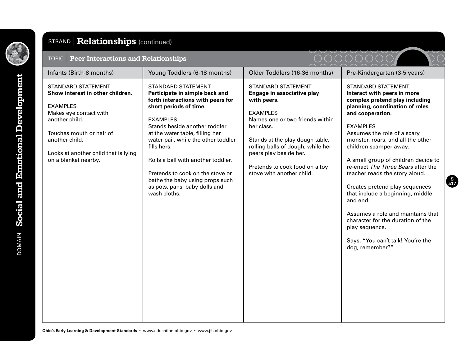

| TOPIC   Peer Interactions and Relationships                                                                                                                                                                                                |                                                                                                                                                                                                                                                                                                                                                                                                                                       |                                                                                                                                                                                                                                                                                                             |                                                                                                                                                                                                                                                                                                                                                                                                                                                                                                                                                                                                                         |
|--------------------------------------------------------------------------------------------------------------------------------------------------------------------------------------------------------------------------------------------|---------------------------------------------------------------------------------------------------------------------------------------------------------------------------------------------------------------------------------------------------------------------------------------------------------------------------------------------------------------------------------------------------------------------------------------|-------------------------------------------------------------------------------------------------------------------------------------------------------------------------------------------------------------------------------------------------------------------------------------------------------------|-------------------------------------------------------------------------------------------------------------------------------------------------------------------------------------------------------------------------------------------------------------------------------------------------------------------------------------------------------------------------------------------------------------------------------------------------------------------------------------------------------------------------------------------------------------------------------------------------------------------------|
| Infants (Birth-8 months)                                                                                                                                                                                                                   | Young Toddlers (6-18 months)                                                                                                                                                                                                                                                                                                                                                                                                          | Older Toddlers (16-36 months)                                                                                                                                                                                                                                                                               | Pre-Kindergarten (3-5 years)                                                                                                                                                                                                                                                                                                                                                                                                                                                                                                                                                                                            |
| <b>STANDARD STATEMENT</b><br>Show interest in other children.<br><b>EXAMPLES</b><br>Makes eye contact with<br>another child.<br>Touches mouth or hair of<br>another child.<br>Looks at another child that is lying<br>on a blanket nearby. | <b>STANDARD STATEMENT</b><br>Participate in simple back and<br>forth interactions with peers for<br>short periods of time.<br><b>EXAMPLES</b><br>Stands beside another toddler<br>at the water table, filling her<br>water pail, while the other toddler<br>fills hers.<br>Rolls a ball with another toddler.<br>Pretends to cook on the stove or<br>bathe the baby using props such<br>as pots, pans, baby dolls and<br>wash cloths. | <b>STANDARD STATEMENT</b><br>Engage in associative play<br>with peers.<br><b>EXAMPLES</b><br>Names one or two friends within<br>her class.<br>Stands at the play dough table,<br>rolling balls of dough, while her<br>peers play beside her.<br>Pretends to cook food on a toy<br>stove with another child. | <b>STANDARD STATEMENT</b><br>Interact with peers in more<br>complex pretend play including<br>planning, coordination of roles<br>and cooperation.<br><b>EXAMPLES</b><br>Assumes the role of a scary<br>monster, roars, and all the other<br>children scamper away.<br>A small group of children decide to<br>re-enact The Three Bears after the<br>teacher reads the story aloud.<br>Creates pretend play sequences<br>that include a beginning, middle<br>and end.<br>Assumes a role and maintains that<br>character for the duration of the<br>play sequence.<br>Says, "You can't talk! You're the<br>dog, remember?" |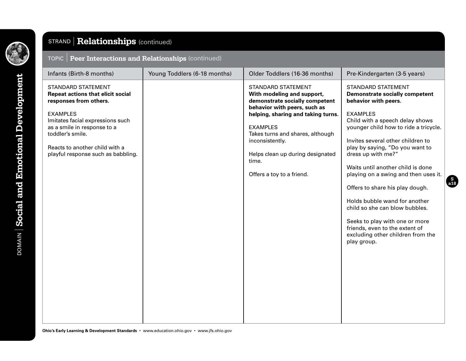

| TOPIC   Peer Interactions and Relationships (continued) |
|---------------------------------------------------------|
|                                                         |

| Infants (Birth-8 months)                                                                                                                                                                                                                                                          | Young Toddlers (6-18 months) | Older Toddlers (16-36 months)                                                                                                                                                                                                                                                                                       | Pre-Kindergarten (3-5 years)                                                                                                                                                                                                                                                                                                                                                                                                                                                                                                                                                                       |
|-----------------------------------------------------------------------------------------------------------------------------------------------------------------------------------------------------------------------------------------------------------------------------------|------------------------------|---------------------------------------------------------------------------------------------------------------------------------------------------------------------------------------------------------------------------------------------------------------------------------------------------------------------|----------------------------------------------------------------------------------------------------------------------------------------------------------------------------------------------------------------------------------------------------------------------------------------------------------------------------------------------------------------------------------------------------------------------------------------------------------------------------------------------------------------------------------------------------------------------------------------------------|
| <b>STANDARD STATEMENT</b><br><b>Repeat actions that elicit social</b><br>responses from others.<br><b>EXAMPLES</b><br>Imitates facial expressions such<br>as a smile in response to a<br>toddler's smile.<br>Reacts to another child with a<br>playful response such as babbling. |                              | <b>STANDARD STATEMENT</b><br>With modeling and support,<br>demonstrate socially competent<br>behavior with peers, such as<br>helping, sharing and taking turns.<br><b>EXAMPLES</b><br>Takes turns and shares, although<br>inconsistently.<br>Helps clean up during designated<br>time.<br>Offers a toy to a friend. | <b>STANDARD STATEMENT</b><br><b>Demonstrate socially competent</b><br>behavior with peers.<br><b>EXAMPLES</b><br>Child with a speech delay shows<br>younger child how to ride a tricycle.<br>Invites several other children to<br>play by saying, "Do you want to<br>dress up with me?"<br>Waits until another child is done<br>playing on a swing and then uses it.<br>Offers to share his play dough.<br>Holds bubble wand for another<br>child so she can blow bubbles.<br>Seeks to play with one or more<br>friends, even to the extent of<br>excluding other children from the<br>play group. |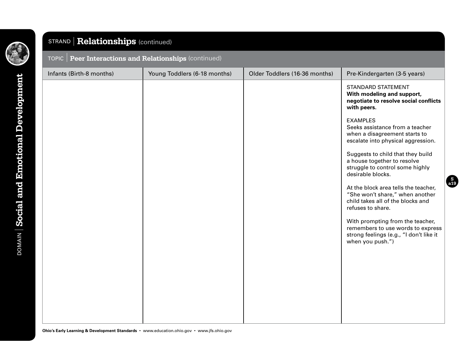

| TOPIC   Peer Interactions and Relationships (continued) |                              |                               |                                                                                                                                      |  |  |
|---------------------------------------------------------|------------------------------|-------------------------------|--------------------------------------------------------------------------------------------------------------------------------------|--|--|
| Infants (Birth-8 months)                                | Young Toddlers (6-18 months) | Older Toddlers (16-36 months) | Pre-Kindergarten (3-5 years)                                                                                                         |  |  |
|                                                         |                              |                               | <b>STANDARD STATEMENT</b><br>With modeling and support,<br>negotiate to resolve social conflicts<br>with peers.                      |  |  |
|                                                         |                              |                               | <b>EXAMPLES</b><br>Seeks assistance from a teacher<br>when a disagreement starts to<br>escalate into physical aggression.            |  |  |
|                                                         |                              |                               | Suggests to child that they build<br>a house together to resolve<br>struggle to control some highly<br>desirable blocks.             |  |  |
|                                                         |                              |                               | At the block area tells the teacher,<br>"She won't share," when another<br>child takes all of the blocks and<br>refuses to share.    |  |  |
|                                                         |                              |                               | With prompting from the teacher,<br>remembers to use words to express<br>strong feelings (e.g., "I don't like it<br>when you push.") |  |  |
|                                                         |                              |                               |                                                                                                                                      |  |  |
|                                                         |                              |                               |                                                                                                                                      |  |  |
|                                                         |                              |                               |                                                                                                                                      |  |  |